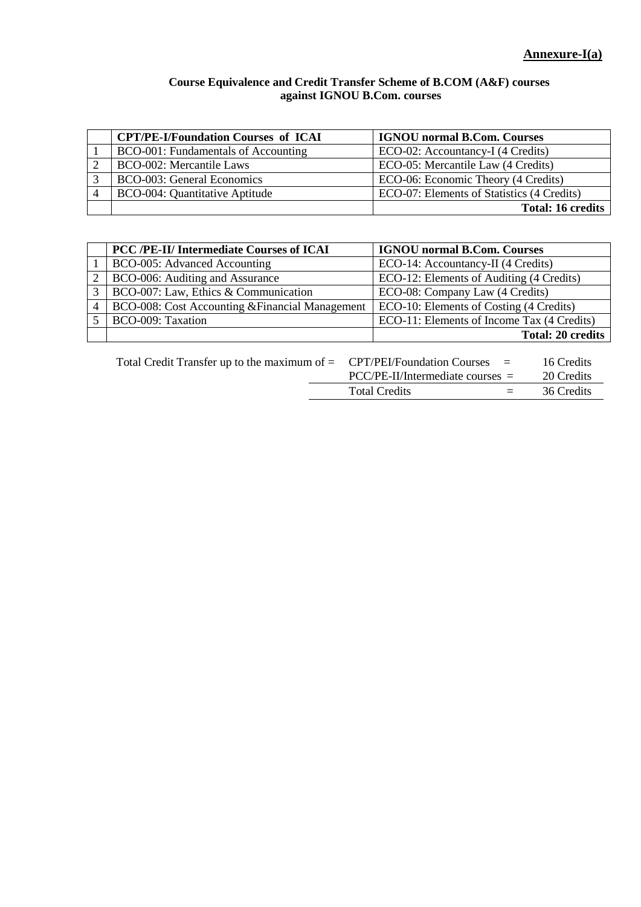## **Course Equivalence and Credit Transfer Scheme of B.COM (A&F) courses against IGNOU B.Com. courses**

| <b>CPT/PE-I/Foundation Courses of ICAI</b> | <b>IGNOU</b> normal B.Com. Courses         |
|--------------------------------------------|--------------------------------------------|
| BCO-001: Fundamentals of Accounting        | ECO-02: Accountancy-I (4 Credits)          |
| <b>BCO-002: Mercantile Laws</b>            | ECO-05: Mercantile Law (4 Credits)         |
| <b>BCO-003: General Economics</b>          | ECO-06: Economic Theory (4 Credits)        |
| BCO-004: Quantitative Aptitude             | ECO-07: Elements of Statistics (4 Credits) |
|                                            | <b>Total: 16 credits</b>                   |

|   | PCC /PE-II/ Intermediate Courses of ICAI        | <b>IGNOU</b> normal B.Com. Courses         |
|---|-------------------------------------------------|--------------------------------------------|
|   | BCO-005: Advanced Accounting                    | ECO-14: Accountancy-II (4 Credits)         |
| 2 | BCO-006: Auditing and Assurance                 | ECO-12: Elements of Auditing (4 Credits)   |
| 3 | BCO-007: Law, Ethics & Communication            | ECO-08: Company Law (4 Credits)            |
| 4 | BCO-008: Cost Accounting & Financial Management | ECO-10: Elements of Costing (4 Credits)    |
|   | BCO-009: Taxation                               | ECO-11: Elements of Income Tax (4 Credits) |
|   |                                                 | <b>Total: 20 credits</b>                   |

|  | Total Credit Transfer up to the maximum of $=$ CPT/PEI/Foundation Courses $=$<br>$PCC/PE-II/Intermediate courses =$ |     | 16 Credits |
|--|---------------------------------------------------------------------------------------------------------------------|-----|------------|
|  |                                                                                                                     |     | 20 Credits |
|  | <b>Total Credits</b>                                                                                                | $=$ | 36 Credits |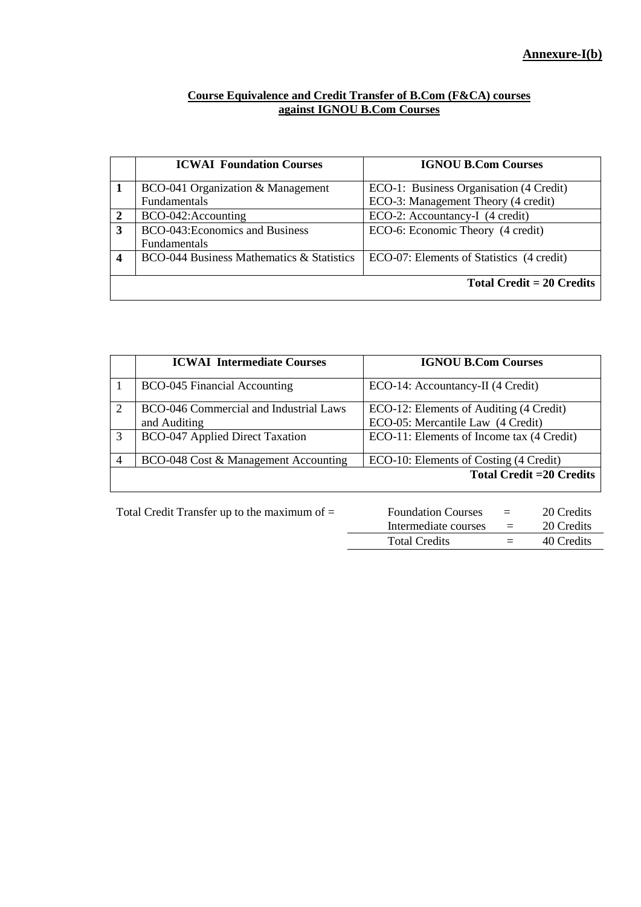## **Course Equivalence and Credit Transfer of B.Com (F&CA) courses against IGNOU B.Com Courses**

|   | <b>ICWAI Foundation Courses</b>           | <b>IGNOU B.Com Courses</b>                |
|---|-------------------------------------------|-------------------------------------------|
|   | BCO-041 Organization & Management         | ECO-1: Business Organisation (4 Credit)   |
|   | <b>Fundamentals</b>                       | ECO-3: Management Theory (4 credit)       |
| 2 | BCO-042:Accounting                        | ECO-2: Accountancy-I (4 credit)           |
| 3 | BCO-043: Economics and Business           | ECO-6: Economic Theory (4 credit)         |
|   | <b>Fundamentals</b>                       |                                           |
| 4 | BCO-044 Business Mathematics & Statistics | ECO-07: Elements of Statistics (4 credit) |
|   |                                           |                                           |
|   |                                           | <b>Total Credit = 20 Credits</b>          |
|   |                                           |                                           |

|   | <b>ICWAI Intermediate Courses</b>                      | <b>IGNOU B.Com Courses</b>                                                   |
|---|--------------------------------------------------------|------------------------------------------------------------------------------|
|   | <b>BCO-045 Financial Accounting</b>                    | ECO-14: Accountancy-II (4 Credit)                                            |
| 2 | BCO-046 Commercial and Industrial Laws<br>and Auditing | ECO-12: Elements of Auditing (4 Credit)<br>ECO-05: Mercantile Law (4 Credit) |
| 3 | <b>BCO-047 Applied Direct Taxation</b>                 | ECO-11: Elements of Income tax (4 Credit)                                    |
| 4 | BCO-048 Cost & Management Accounting                   | ECO-10: Elements of Costing (4 Credit)                                       |
|   |                                                        | <b>Total Credit = 20 Credits</b>                                             |

Total Credit Transfer up to the maximum of = Foundation Courses = 20 Credits Intermediate courses = 20 Credits Total Credits  $= 40$  Credits